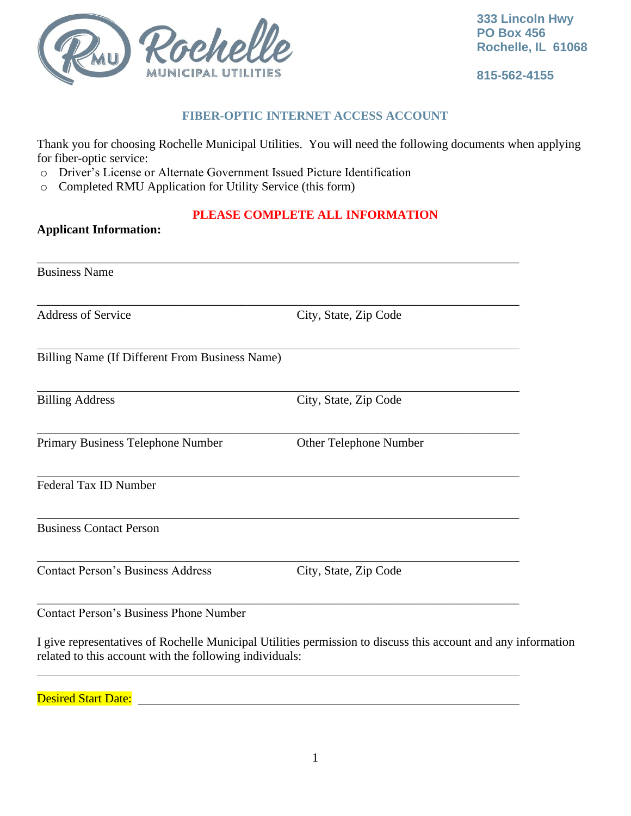

**Applicant Information:**

**815-562-4155**

# **FIBER-OPTIC INTERNET ACCESS ACCOUNT**

Thank you for choosing Rochelle Municipal Utilities. You will need the following documents when applying for fiber-optic service:

- o Driver's License or Alternate Government Issued Picture Identification
- o Completed RMU Application for Utility Service (this form)

# **PLEASE COMPLETE ALL INFORMATION**

| Address of Service                             | City, State, Zip Code  |
|------------------------------------------------|------------------------|
| Billing Name (If Different From Business Name) |                        |
| <b>Billing Address</b>                         | City, State, Zip Code  |
| Primary Business Telephone Number              | Other Telephone Number |
| Federal Tax ID Number                          |                        |
| <b>Business Contact Person</b>                 |                        |
| <b>Contact Person's Business Address</b>       | City, State, Zip Code  |
| <b>Contact Person's Business Phone Number</b>  |                        |

Desired Start Date: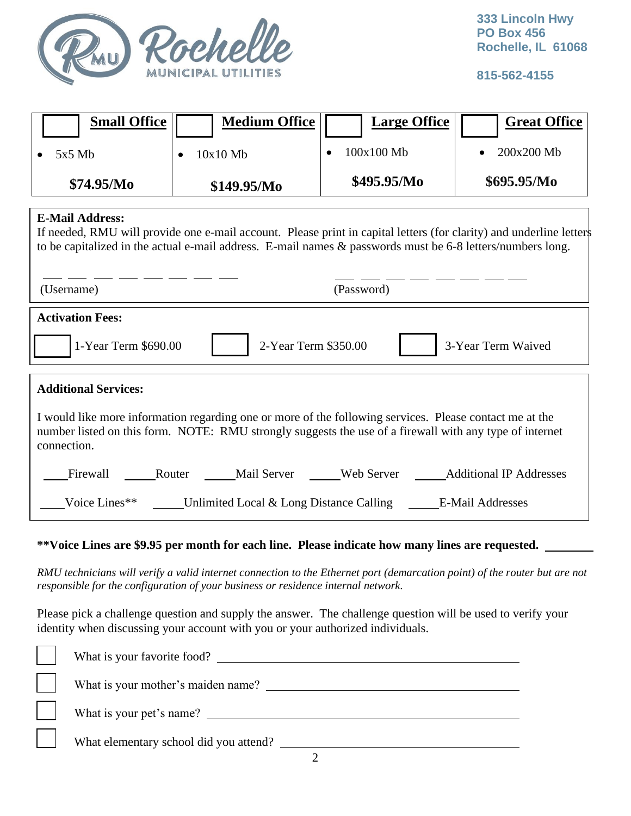

**815-562-4155**

| <b>Small Office</b>                                                                                                                                                                                                                                         | <b>Medium Office</b>                                  | <b>Large Office</b> | <b>Great Office</b> |  |  |
|-------------------------------------------------------------------------------------------------------------------------------------------------------------------------------------------------------------------------------------------------------------|-------------------------------------------------------|---------------------|---------------------|--|--|
| $5x5$ Mb                                                                                                                                                                                                                                                    | 10x10 Mb                                              | 100x100 Mb          | 200x200 Mb          |  |  |
| \$74.95/Mo                                                                                                                                                                                                                                                  | \$149.95/Mo                                           | \$495.95/Mo         | \$695.95/Mo         |  |  |
| <b>E-Mail Address:</b><br>If needed, RMU will provide one e-mail account. Please print in capital letters (for clarity) and underline letters<br>to be capitalized in the actual e-mail address. E-mail names & passwords must be 6-8 letters/numbers long. |                                                       |                     |                     |  |  |
| (Username)<br>(Password)                                                                                                                                                                                                                                    |                                                       |                     |                     |  |  |
| <b>Activation Fees:</b><br>1-Year Term \$690.00<br>2-Year Term \$350.00<br>3-Year Term Waived                                                                                                                                                               |                                                       |                     |                     |  |  |
| <b>Additional Services:</b><br>I would like more information regarding one or more of the following services. Please contact me at the<br>number listed on this form. NOTE: RMU strongly suggests the use of a firewall with any type of internet           |                                                       |                     |                     |  |  |
| connection.<br>Firewall                                                                                                                                                                                                                                     | Router Mail Server Web Server Additional IP Addresses |                     |                     |  |  |
| Voice Lines**<br>Unlimited Local & Long Distance Calling E-Mail Addresses                                                                                                                                                                                   |                                                       |                     |                     |  |  |

## **\*\*Voice Lines are \$9.95 per month for each line. Please indicate how many lines are requested.**

*RMU technicians will verify a valid internet connection to the Ethernet port (demarcation point) of the router but are not responsible for the configuration of your business or residence internal network.*

Please pick a challenge question and supply the answer. The challenge question will be used to verify your identity when discussing your account with you or your authorized individuals.

| What is your favorite food?            |
|----------------------------------------|
| What is your mother's maiden name?     |
| What is your pet's name?               |
| What elementary school did you attend? |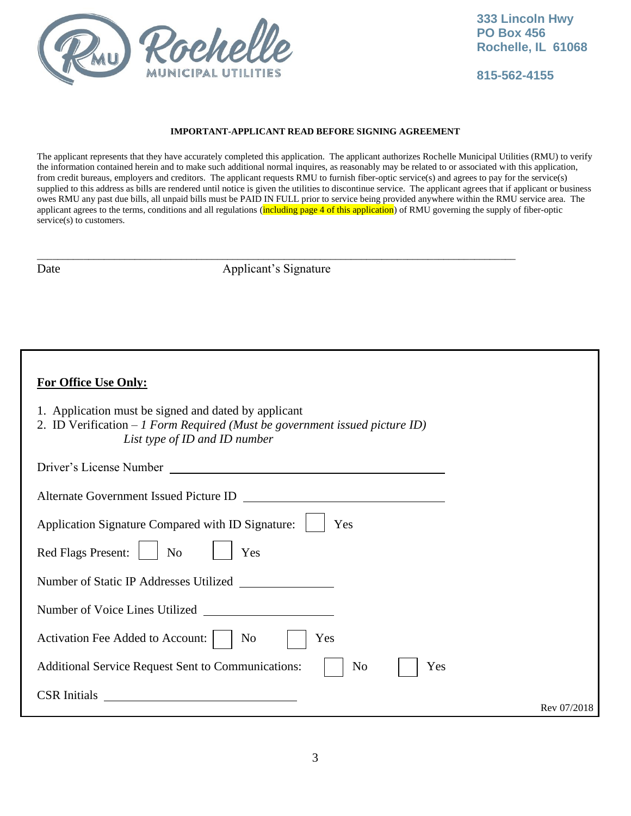

**815-562-4155**

## **IMPORTANT-APPLICANT READ BEFORE SIGNING AGREEMENT**

The applicant represents that they have accurately completed this application. The applicant authorizes Rochelle Municipal Utilities (RMU) to verify the information contained herein and to make such additional normal inquires, as reasonably may be related to or associated with this application, from credit bureaus, employers and creditors. The applicant requests RMU to furnish fiber-optic service(s) and agrees to pay for the service(s) supplied to this address as bills are rendered until notice is given the utilities to discontinue service. The applicant agrees that if applicant or business owes RMU any past due bills, all unpaid bills must be PAID IN FULL prior to service being provided anywhere within the RMU service area. The applicant agrees to the terms, conditions and all regulations (including page 4 of this application) of RMU governing the supply of fiber-optic service(s) to customers.

\_\_\_\_\_\_\_\_\_\_\_\_\_\_\_\_\_\_\_\_\_\_\_\_\_\_\_\_\_\_\_\_\_\_\_\_\_\_\_\_\_\_\_\_\_\_\_\_\_\_\_\_\_\_\_\_\_\_\_\_\_\_\_\_\_\_\_\_\_\_\_\_\_\_\_\_\_\_\_\_\_\_\_\_\_\_\_\_\_\_\_\_\_ Date Applicant's Signature

# **For Office Use Only:**

- 1. Application must be signed and dated by applicant
- 2. ID Verification *1 Form Required (Must be government issued picture ID) List type of ID and ID number*

| Driver's License Number                                                                  |             |
|------------------------------------------------------------------------------------------|-------------|
| Alternate Government Issued Picture ID                                                   |             |
| Application Signature Compared with ID Signature:<br>Yes                                 |             |
| Red Flags Present:<br>N <sub>o</sub><br>Yes                                              |             |
| Number of Static IP Addresses Utilized<br><u> 1990 - Jan Barbara Barat, prima popula</u> |             |
| Number of Voice Lines Utilized                                                           |             |
| Activation Fee Added to Account:<br>N <sub>0</sub><br>Yes                                |             |
| N <sub>o</sub><br>Yes<br><b>Additional Service Request Sent to Communications:</b>       |             |
| <b>CSR</b> Initials<br><u> 1989 - Johann Stein, fransk politik (d. 1989)</u>             | Rev 07/2018 |